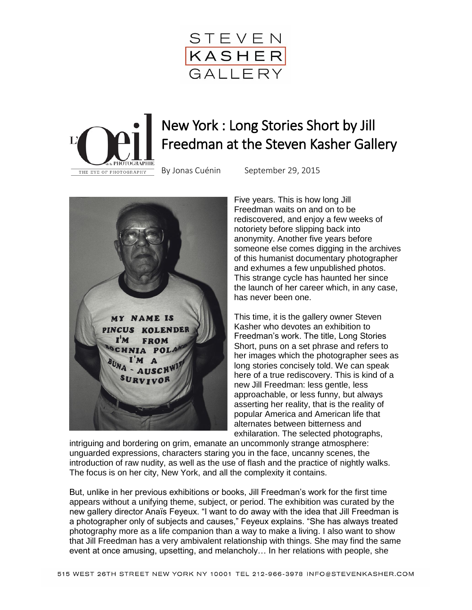



## New York : Long Stories Short by Jill Freedman at the Steven Kasher Gallery



By [Jonas Cuénin](http://www.loeildelaphotographie.com/authors/jonas-cuenin) September 29, 2015

Five years. This is how long Jill Freedman waits on and on to be rediscovered, and enjoy a few weeks of notoriety before slipping back into anonymity. Another five years before someone else comes digging in the archives of this humanist documentary photographer and exhumes a few unpublished photos. This strange cycle has haunted her since the launch of her career which, in any case, has never been one.

This time, it is the gallery owner Steven Kasher who devotes an exhibition to Freedman's work. The title, Long Stories Short, puns on a set phrase and refers to her images which the photographer sees as long stories concisely told. We can speak here of a true rediscovery. This is kind of a new Jill Freedman: less gentle, less approachable, or less funny, but always asserting her reality, that is the reality of popular America and American life that alternates between bitterness and exhilaration. The selected photographs,

intriguing and bordering on grim, emanate an uncommonly strange atmosphere: unguarded expressions, characters staring you in the face, uncanny scenes, the introduction of raw nudity, as well as the use of flash and the practice of nightly walks. The focus is on her city, New York, and all the complexity it contains.

But, unlike in her previous exhibitions or books, Jill Freedman's work for the first time appears without a unifying theme, subject, or period. The exhibition was curated by the new gallery director Anaïs Feyeux. "I want to do away with the idea that Jill Freedman is a photographer only of subjects and causes," Feyeux explains. "She has always treated photography more as a life companion than a way to make a living. I also want to show that Jill Freedman has a very ambivalent relationship with things. She may find the same event at once amusing, upsetting, and melancholy… In her relations with people, she